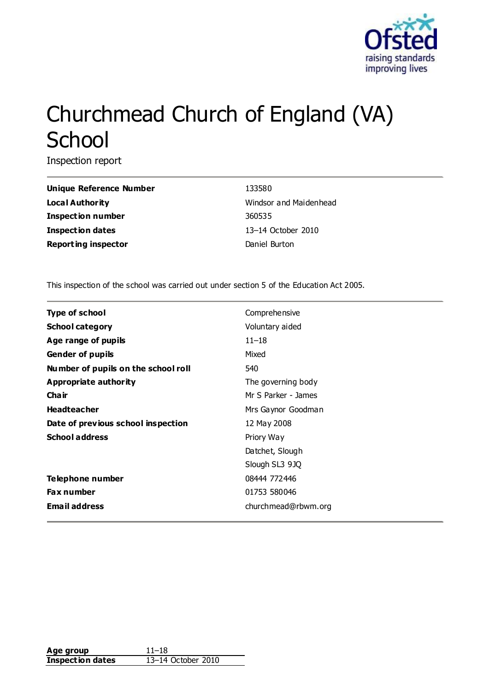

# Churchmead Church of England (VA) **School**

Inspection report

**Unique Reference Number** 133580 **Local Authority Local Authority Windsor and Maidenhead Inspection number** 360535 **Inspection dates** 13–14 October 2010 **Reporting inspector Daniel Burton** 

This inspection of the school was carried out under section 5 of the Education Act 2005.

| <b>Type of school</b>               | Comprehensive       |
|-------------------------------------|---------------------|
| <b>School category</b>              | Voluntary aided     |
| Age range of pupils                 | $11 - 18$           |
| <b>Gender of pupils</b>             | Mixed               |
| Number of pupils on the school roll | 540                 |
| <b>Appropriate authority</b>        | The governing body  |
| Cha ir                              | Mr S Parker - James |
| <b>Headteacher</b>                  | Mrs Gaynor Goodman  |
| Date of previous school inspection  | 12 May 2008         |
| <b>School address</b>               | Priory Way          |
|                                     | Datchet, Slough     |
|                                     | Slough SL3 9JQ      |
| Telephone number                    | 08444 772446        |
| <b>Fax number</b>                   | 01753 580046        |
| <b>Email address</b>                | churchmead@rbwm.org |

| Age group               | $11 - 18$          |
|-------------------------|--------------------|
| <b>Inspection dates</b> | 13–14 October 2010 |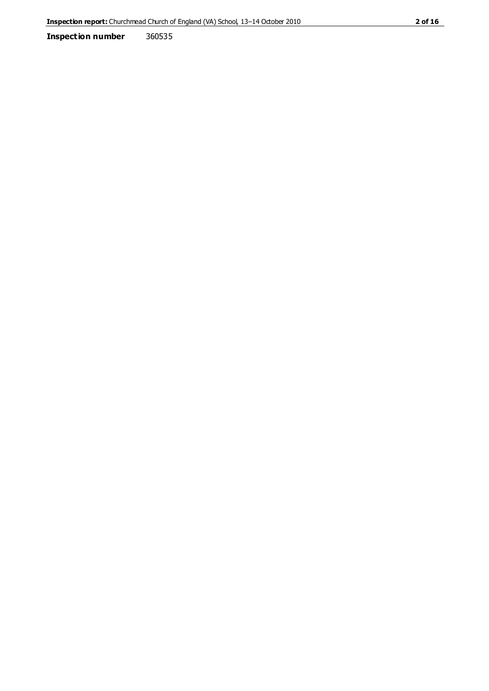**Inspection number** 360535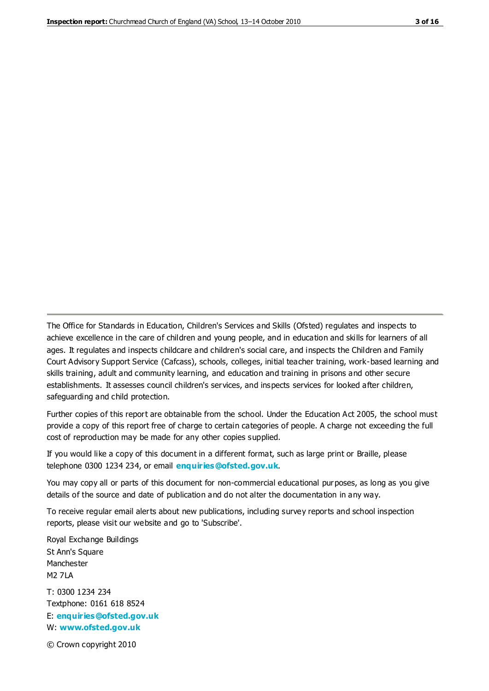The Office for Standards in Education, Children's Services and Skills (Ofsted) regulates and inspects to achieve excellence in the care of children and young people, and in education and skills for learners of all ages. It regulates and inspects childcare and children's social care, and inspects the Children and Family Court Advisory Support Service (Cafcass), schools, colleges, initial teacher training, work-based learning and skills training, adult and community learning, and education and training in prisons and other secure establishments. It assesses council children's services, and inspects services for looked after children, safeguarding and child protection.

Further copies of this report are obtainable from the school. Under the Education Act 2005, the school must provide a copy of this report free of charge to certain categories of people. A charge not exceeding the full cost of reproduction may be made for any other copies supplied.

If you would like a copy of this document in a different format, such as large print or Braille, please telephone 0300 1234 234, or email **[enquiries@ofsted.gov.uk](mailto:enquiries@ofsted.gov.uk)**.

You may copy all or parts of this document for non-commercial educational purposes, as long as you give details of the source and date of publication and do not alter the documentation in any way.

To receive regular email alerts about new publications, including survey reports and school inspection reports, please visit our website and go to 'Subscribe'.

Royal Exchange Buildings St Ann's Square Manchester M2 7LA T: 0300 1234 234 Textphone: 0161 618 8524 E: **[enquiries@ofsted.gov.uk](mailto:enquiries@ofsted.gov.uk)**

W: **[www.ofsted.gov.uk](http://www.ofsted.gov.uk/)**

© Crown copyright 2010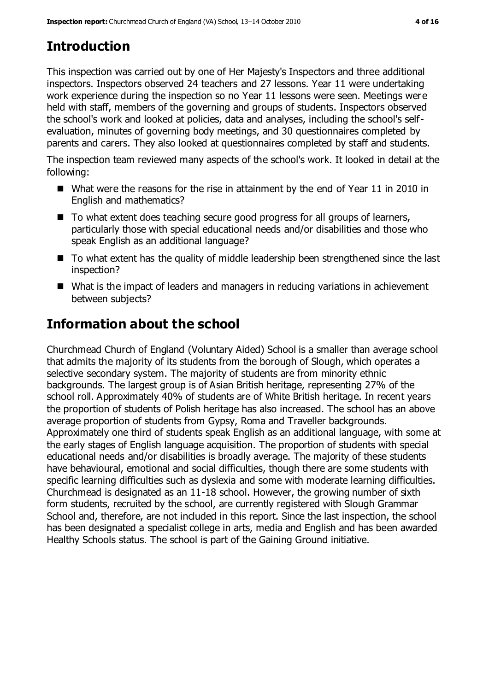# **Introduction**

This inspection was carried out by one of Her Majesty's Inspectors and three additional inspectors. Inspectors observed 24 teachers and 27 lessons. Year 11 were undertaking work experience during the inspection so no Year 11 lessons were seen. Meetings were held with staff, members of the governing and groups of students. Inspectors observed the school's work and looked at policies, data and analyses, including the school's selfevaluation, minutes of governing body meetings, and 30 questionnaires completed by parents and carers. They also looked at questionnaires completed by staff and students.

The inspection team reviewed many aspects of the school's work. It looked in detail at the following:

- What were the reasons for the rise in attainment by the end of Year 11 in 2010 in English and mathematics?
- To what extent does teaching secure good progress for all groups of learners, particularly those with special educational needs and/or disabilities and those who speak English as an additional language?
- To what extent has the quality of middle leadership been strengthened since the last inspection?
- What is the impact of leaders and managers in reducing variations in achievement between subjects?

# **Information about the school**

Churchmead Church of England (Voluntary Aided) School is a smaller than average school that admits the majority of its students from the borough of Slough, which operates a selective secondary system. The majority of students are from minority ethnic backgrounds. The largest group is of Asian British heritage, representing 27% of the school roll. Approximately 40% of students are of White British heritage. In recent years the proportion of students of Polish heritage has also increased. The school has an above average proportion of students from Gypsy, Roma and Traveller backgrounds. Approximately one third of students speak English as an additional language, with some at the early stages of English language acquisition. The proportion of students with special educational needs and/or disabilities is broadly average. The majority of these students have behavioural, emotional and social difficulties, though there are some students with specific learning difficulties such as dyslexia and some with moderate learning difficulties. Churchmead is designated as an 11-18 school. However, the growing number of sixth form students, recruited by the school, are currently registered with Slough Grammar School and, therefore, are not included in this report. Since the last inspection, the school has been designated a specialist college in arts, media and English and has been awarded Healthy Schools status. The school is part of the Gaining Ground initiative.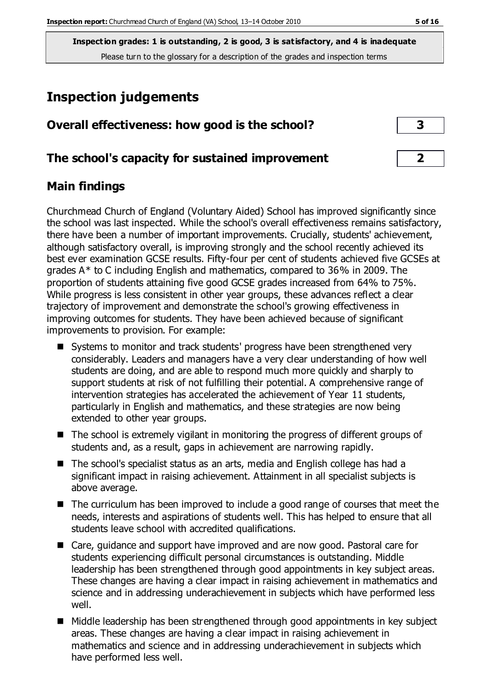# **Inspection judgements**

| Overall effectiveness: how good is the school?  |  |
|-------------------------------------------------|--|
| The school's capacity for sustained improvement |  |

## **Main findings**

Churchmead Church of England (Voluntary Aided) School has improved significantly since the school was last inspected. While the school's overall effectiveness remains satisfactory, there have been a number of important improvements. Crucially, students' achievement, although satisfactory overall, is improving strongly and the school recently achieved its best ever examination GCSE results. Fifty-four per cent of students achieved five GCSEs at grades A\* to C including English and mathematics, compared to 36% in 2009. The proportion of students attaining five good GCSE grades increased from 64% to 75%. While progress is less consistent in other year groups, these advances reflect a clear trajectory of improvement and demonstrate the school's growing effectiveness in improving outcomes for students. They have been achieved because of significant improvements to provision. For example:

- Systems to monitor and track students' progress have been strengthened very considerably. Leaders and managers have a very clear understanding of how well students are doing, and are able to respond much more quickly and sharply to support students at risk of not fulfilling their potential. A comprehensive range of intervention strategies has accelerated the achievement of Year 11 students, particularly in English and mathematics, and these strategies are now being extended to other year groups.
- The school is extremely vigilant in monitoring the progress of different groups of students and, as a result, gaps in achievement are narrowing rapidly.
- The school's specialist status as an arts, media and English college has had a significant impact in raising achievement. Attainment in all specialist subjects is above average.
- The curriculum has been improved to include a good range of courses that meet the needs, interests and aspirations of students well. This has helped to ensure that all students leave school with accredited qualifications.
- Care, guidance and support have improved and are now good. Pastoral care for students experiencing difficult personal circumstances is outstanding. Middle leadership has been strengthened through good appointments in key subject areas. These changes are having a clear impact in raising achievement in mathematics and science and in addressing underachievement in subjects which have performed less well.
- Middle leadership has been strengthened through good appointments in key subject areas. These changes are having a clear impact in raising achievement in mathematics and science and in addressing underachievement in subjects which have performed less well.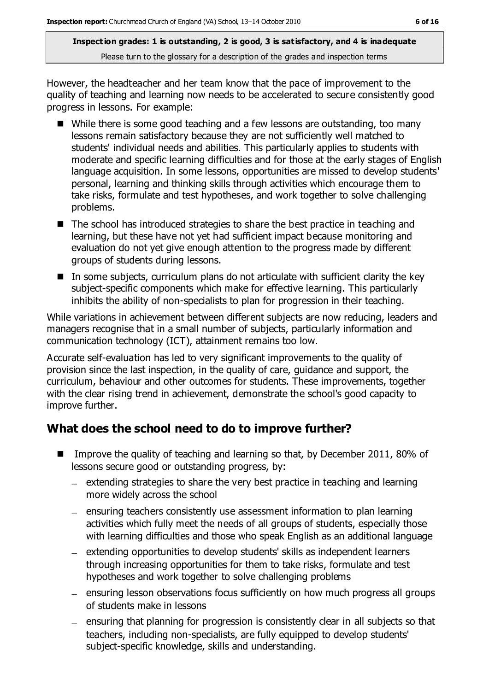However, the headteacher and her team know that the pace of improvement to the quality of teaching and learning now needs to be accelerated to secure consistently good progress in lessons. For example:

- While there is some good teaching and a few lessons are outstanding, too many lessons remain satisfactory because they are not sufficiently well matched to students' individual needs and abilities. This particularly applies to students with moderate and specific learning difficulties and for those at the early stages of English language acquisition. In some lessons, opportunities are missed to develop students' personal, learning and thinking skills through activities which encourage them to take risks, formulate and test hypotheses, and work together to solve challenging problems.
- The school has introduced strategies to share the best practice in teaching and learning, but these have not yet had sufficient impact because monitoring and evaluation do not yet give enough attention to the progress made by different groups of students during lessons.
- $\blacksquare$  In some subjects, curriculum plans do not articulate with sufficient clarity the key subject-specific components which make for effective learning. This particularly inhibits the ability of non-specialists to plan for progression in their teaching.

While variations in achievement between different subjects are now reducing, leaders and managers recognise that in a small number of subjects, particularly information and communication technology (ICT), attainment remains too low.

Accurate self-evaluation has led to very significant improvements to the quality of provision since the last inspection, in the quality of care, guidance and support, the curriculum, behaviour and other outcomes for students. These improvements, together with the clear rising trend in achievement, demonstrate the school's good capacity to improve further.

## **What does the school need to do to improve further?**

- Improve the quality of teaching and learning so that, by December 2011, 80% of lessons secure good or outstanding progress, by:
	- $-$  extending strategies to share the very best practice in teaching and learning more widely across the school
	- ensuring teachers consistently use assessment information to plan learning activities which fully meet the needs of all groups of students, especially those with learning difficulties and those who speak English as an additional language
	- extending opportunities to develop students' skills as independent learners through increasing opportunities for them to take risks, formulate and test hypotheses and work together to solve challenging problems
	- ensuring lesson observations focus sufficiently on how much progress all groups of students make in lessons
	- ensuring that planning for progression is consistently clear in all subjects so that teachers, including non-specialists, are fully equipped to develop students' subject-specific knowledge, skills and understanding.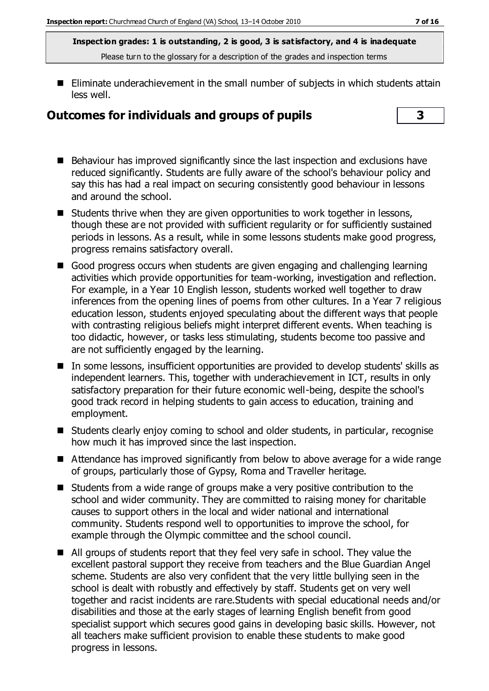■ Eliminate underachievement in the small number of subjects in which students attain less well.

## **Outcomes for individuals and groups of pupils 3**

- 
- Behaviour has improved significantly since the last inspection and exclusions have reduced significantly. Students are fully aware of the school's behaviour policy and say this has had a real impact on securing consistently good behaviour in lessons and around the school.
- Students thrive when they are given opportunities to work together in lessons, though these are not provided with sufficient regularity or for sufficiently sustained periods in lessons. As a result, while in some lessons students make good progress, progress remains satisfactory overall.
- Good progress occurs when students are given engaging and challenging learning activities which provide opportunities for team-working, investigation and reflection. For example, in a Year 10 English lesson, students worked well together to draw inferences from the opening lines of poems from other cultures. In a Year 7 religious education lesson, students enjoyed speculating about the different ways that people with contrasting religious beliefs might interpret different events. When teaching is too didactic, however, or tasks less stimulating, students become too passive and are not sufficiently engaged by the learning.
- In some lessons, insufficient opportunities are provided to develop students' skills as independent learners. This, together with underachievement in ICT, results in only satisfactory preparation for their future economic well-being, despite the school's good track record in helping students to gain access to education, training and employment.
- Students clearly enjoy coming to school and older students, in particular, recognise how much it has improved since the last inspection.
- Attendance has improved significantly from below to above average for a wide range of groups, particularly those of Gypsy, Roma and Traveller heritage.
- Students from a wide range of groups make a very positive contribution to the school and wider community. They are committed to raising money for charitable causes to support others in the local and wider national and international community. Students respond well to opportunities to improve the school, for example through the Olympic committee and the school council.
- All groups of students report that they feel very safe in school. They value the excellent pastoral support they receive from teachers and the Blue Guardian Angel scheme. Students are also very confident that the very little bullying seen in the school is dealt with robustly and effectively by staff. Students get on very well together and racist incidents are rare.Students with special educational needs and/or disabilities and those at the early stages of learning English benefit from good specialist support which secures good gains in developing basic skills. However, not all teachers make sufficient provision to enable these students to make good progress in lessons.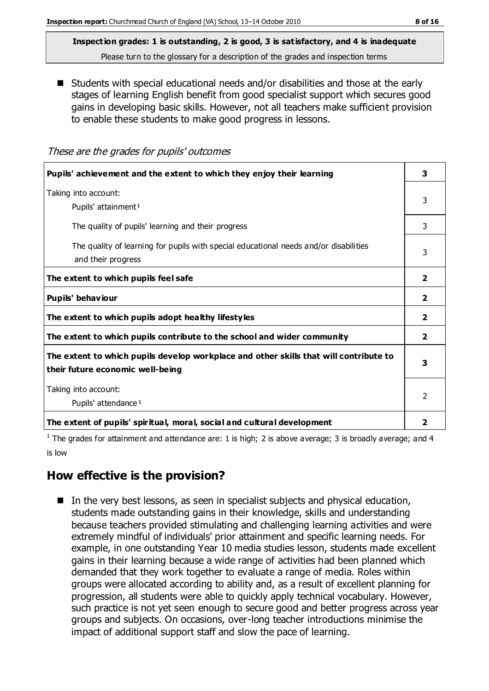■ Students with special educational needs and/or disabilities and those at the early stages of learning English benefit from good specialist support which secures good gains in developing basic skills. However, not all teachers make sufficient provision to enable these students to make good progress in lessons.

#### These are the grades for pupils' outcomes

| Pupils' achievement and the extent to which they enjoy their learning                                                     | 3                       |
|---------------------------------------------------------------------------------------------------------------------------|-------------------------|
| Taking into account:<br>Pupils' attainment <sup>1</sup>                                                                   | 3                       |
| The quality of pupils' learning and their progress                                                                        | 3                       |
| The quality of learning for pupils with special educational needs and/or disabilities<br>and their progress               | 3                       |
| The extent to which pupils feel safe                                                                                      | $\overline{\mathbf{2}}$ |
| Pupils' behaviour                                                                                                         | 2                       |
| The extent to which pupils adopt healthy lifestyles                                                                       | $\overline{\mathbf{2}}$ |
| The extent to which pupils contribute to the school and wider community                                                   | $\overline{\mathbf{2}}$ |
| The extent to which pupils develop workplace and other skills that will contribute to<br>their future economic well-being | 3                       |
| Taking into account:<br>Pupils' attendance <sup>1</sup>                                                                   | $\mathfrak{p}$          |
| The extent of pupils' spiritual, moral, social and cultural development                                                   | 2                       |

<sup>1</sup> The grades for attainment and attendance are: 1 is high; 2 is above average; 3 is broadly average; and 4 is low

#### **How effective is the provision?**

■ In the very best lessons, as seen in specialist subjects and physical education, students made outstanding gains in their knowledge, skills and understanding because teachers provided stimulating and challenging learning activities and were extremely mindful of individuals' prior attainment and specific learning needs. For example, in one outstanding Year 10 media studies lesson, students made excellent gains in their learning because a wide range of activities had been planned which demanded that they work together to evaluate a range of media. Roles within groups were allocated according to ability and, as a result of excellent planning for progression, all students were able to quickly apply technical vocabulary. However, such practice is not yet seen enough to secure good and better progress across year groups and subjects. On occasions, over-long teacher introductions minimise the impact of additional support staff and slow the pace of learning.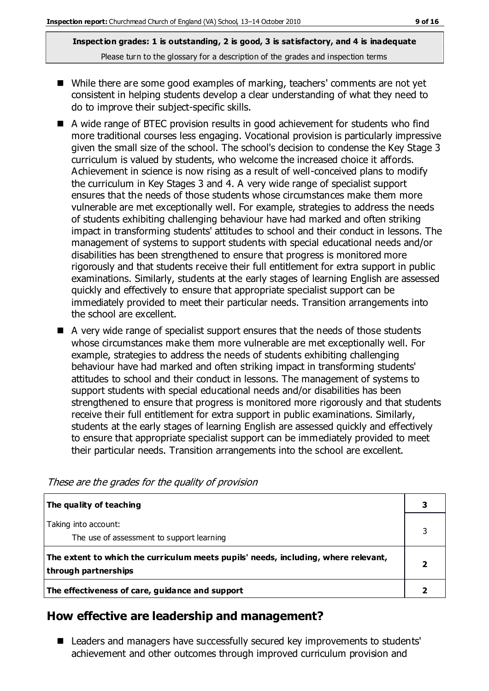- While there are some good examples of marking, teachers' comments are not yet consistent in helping students develop a clear understanding of what they need to do to improve their subject-specific skills.
- A wide range of BTEC provision results in good achievement for students who find more traditional courses less engaging. Vocational provision is particularly impressive given the small size of the school. The school's decision to condense the Key Stage 3 curriculum is valued by students, who welcome the increased choice it affords. Achievement in science is now rising as a result of well-conceived plans to modify the curriculum in Key Stages 3 and 4. A very wide range of specialist support ensures that the needs of those students whose circumstances make them more vulnerable are met exceptionally well. For example, strategies to address the needs of students exhibiting challenging behaviour have had marked and often striking impact in transforming students' attitudes to school and their conduct in lessons. The management of systems to support students with special educational needs and/or disabilities has been strengthened to ensure that progress is monitored more rigorously and that students receive their full entitlement for extra support in public examinations. Similarly, students at the early stages of learning English are assessed quickly and effectively to ensure that appropriate specialist support can be immediately provided to meet their particular needs. Transition arrangements into the school are excellent.
- A very wide range of specialist support ensures that the needs of those students whose circumstances make them more vulnerable are met exceptionally well. For example, strategies to address the needs of students exhibiting challenging behaviour have had marked and often striking impact in transforming students' attitudes to school and their conduct in lessons. The management of systems to support students with special educational needs and/or disabilities has been strengthened to ensure that progress is monitored more rigorously and that students receive their full entitlement for extra support in public examinations. Similarly, students at the early stages of learning English are assessed quickly and effectively to ensure that appropriate specialist support can be immediately provided to meet their particular needs. Transition arrangements into the school are excellent.

| The quality of teaching                                                                                    |  |
|------------------------------------------------------------------------------------------------------------|--|
| Taking into account:<br>The use of assessment to support learning                                          |  |
| The extent to which the curriculum meets pupils' needs, including, where relevant,<br>through partnerships |  |
| The effectiveness of care, guidance and support                                                            |  |

#### These are the grades for the quality of provision

## **How effective are leadership and management?**

■ Leaders and managers have successfully secured key improvements to students' achievement and other outcomes through improved curriculum provision and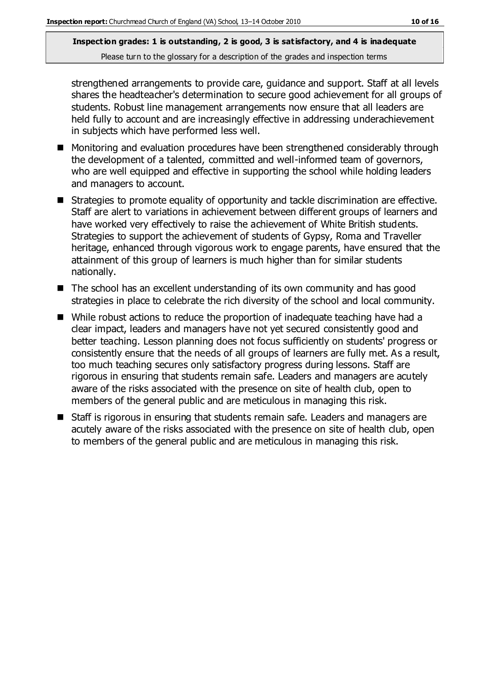strengthened arrangements to provide care, guidance and support. Staff at all levels shares the headteacher's determination to secure good achievement for all groups of students. Robust line management arrangements now ensure that all leaders are held fully to account and are increasingly effective in addressing underachievement in subjects which have performed less well.

- Monitoring and evaluation procedures have been strengthened considerably through the development of a talented, committed and well-informed team of governors, who are well equipped and effective in supporting the school while holding leaders and managers to account.
- Strategies to promote equality of opportunity and tackle discrimination are effective. Staff are alert to variations in achievement between different groups of learners and have worked very effectively to raise the achievement of White British students. Strategies to support the achievement of students of Gypsy, Roma and Traveller heritage, enhanced through vigorous work to engage parents, have ensured that the attainment of this group of learners is much higher than for similar students nationally.
- The school has an excellent understanding of its own community and has good strategies in place to celebrate the rich diversity of the school and local community.
- While robust actions to reduce the proportion of inadequate teaching have had a clear impact, leaders and managers have not yet secured consistently good and better teaching. Lesson planning does not focus sufficiently on students' progress or consistently ensure that the needs of all groups of learners are fully met. As a result, too much teaching secures only satisfactory progress during lessons. Staff are rigorous in ensuring that students remain safe. Leaders and managers are acutely aware of the risks associated with the presence on site of health club, open to members of the general public and are meticulous in managing this risk.
- Staff is rigorous in ensuring that students remain safe. Leaders and managers are acutely aware of the risks associated with the presence on site of health club, open to members of the general public and are meticulous in managing this risk.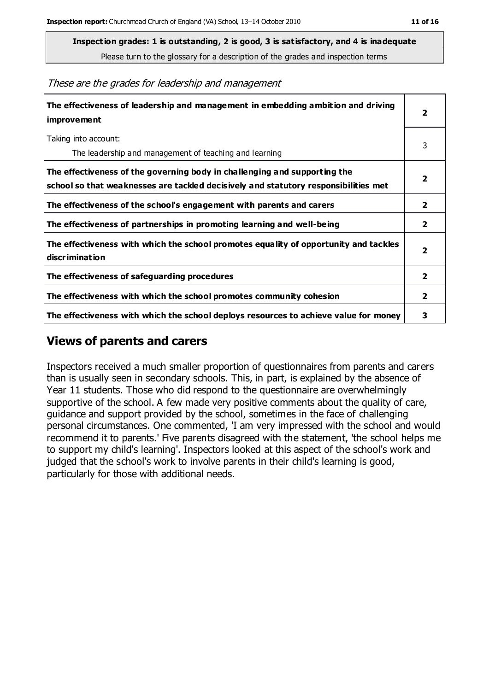**Inspection grades: 1 is outstanding, 2 is good, 3 is satisfactory, and 4 is inadequate**

Please turn to the glossary for a description of the grades and inspection terms

|  |  |  |  |  | These are the grades for leadership and management |
|--|--|--|--|--|----------------------------------------------------|
|--|--|--|--|--|----------------------------------------------------|

| The effectiveness of leadership and management in embedding ambition and driving<br>improvement                                                                  |                         |
|------------------------------------------------------------------------------------------------------------------------------------------------------------------|-------------------------|
| Taking into account:<br>The leadership and management of teaching and learning                                                                                   | 3                       |
| The effectiveness of the governing body in challenging and supporting the<br>school so that weaknesses are tackled decisively and statutory responsibilities met | 2                       |
| The effectiveness of the school's engagement with parents and carers                                                                                             | $\overline{2}$          |
| The effectiveness of partnerships in promoting learning and well-being                                                                                           | 2                       |
| The effectiveness with which the school promotes equality of opportunity and tackles<br>discrimination                                                           | $\overline{\mathbf{2}}$ |
| The effectiveness of safeguarding procedures                                                                                                                     | 2                       |
| The effectiveness with which the school promotes community cohesion                                                                                              | $\overline{2}$          |
| The effectiveness with which the school deploys resources to achieve value for money                                                                             | з                       |

### **Views of parents and carers**

Inspectors received a much smaller proportion of questionnaires from parents and carers than is usually seen in secondary schools. This, in part, is explained by the absence of Year 11 students. Those who did respond to the questionnaire are overwhelmingly supportive of the school. A few made very positive comments about the quality of care, guidance and support provided by the school, sometimes in the face of challenging personal circumstances. One commented, 'I am very impressed with the school and would recommend it to parents.' Five parents disagreed with the statement, 'the school helps me to support my child's learning'. Inspectors looked at this aspect of the school's work and judged that the school's work to involve parents in their child's learning is good, particularly for those with additional needs.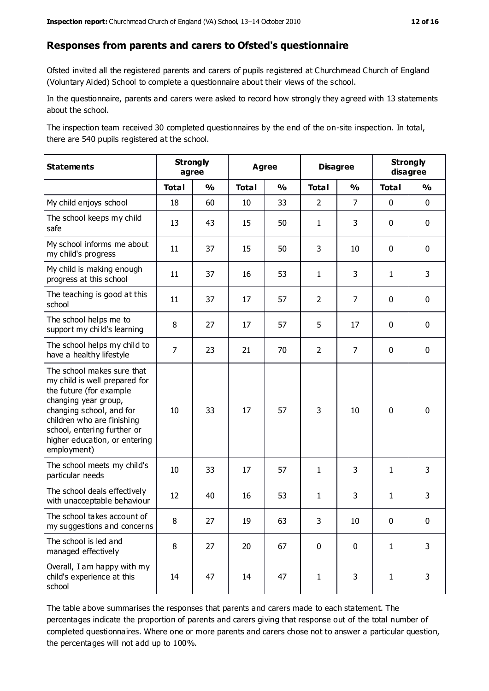#### **Responses from parents and carers to Ofsted's questionnaire**

Ofsted invited all the registered parents and carers of pupils registered at Churchmead Church of England (Voluntary Aided) School to complete a questionnaire about their views of the school.

In the questionnaire, parents and carers were asked to record how strongly they agreed with 13 statements about the school.

The inspection team received 30 completed questionnaires by the end of the on-site inspection. In total, there are 540 pupils registered at the school.

| <b>Statements</b>                                                                                                                                                                                                                                       | <b>Strongly</b><br>agree |               | <b>Agree</b> |               | <b>Disagree</b> |                | <b>Strongly</b><br>disagree |               |
|---------------------------------------------------------------------------------------------------------------------------------------------------------------------------------------------------------------------------------------------------------|--------------------------|---------------|--------------|---------------|-----------------|----------------|-----------------------------|---------------|
|                                                                                                                                                                                                                                                         | <b>Total</b>             | $\frac{1}{2}$ | <b>Total</b> | $\frac{1}{2}$ | <b>Total</b>    | $\frac{1}{2}$  | <b>Total</b>                | $\frac{1}{2}$ |
| My child enjoys school                                                                                                                                                                                                                                  | 18                       | 60            | 10           | 33            | $\overline{2}$  | $\overline{7}$ | $\mathbf 0$                 | $\mathbf 0$   |
| The school keeps my child<br>safe                                                                                                                                                                                                                       | 13                       | 43            | 15           | 50            | $\mathbf{1}$    | 3              | $\mathbf 0$                 | $\mathbf 0$   |
| My school informs me about<br>my child's progress                                                                                                                                                                                                       | 11                       | 37            | 15           | 50            | 3               | 10             | $\mathbf 0$                 | $\mathbf 0$   |
| My child is making enough<br>progress at this school                                                                                                                                                                                                    | 11                       | 37            | 16           | 53            | $\mathbf{1}$    | 3              | $\mathbf{1}$                | 3             |
| The teaching is good at this<br>school                                                                                                                                                                                                                  | 11                       | 37            | 17           | 57            | $\overline{2}$  | 7              | $\mathbf 0$                 | $\mathbf 0$   |
| The school helps me to<br>support my child's learning                                                                                                                                                                                                   | 8                        | 27            | 17           | 57            | 5               | 17             | $\mathbf 0$                 | $\mathbf 0$   |
| The school helps my child to<br>have a healthy lifestyle                                                                                                                                                                                                | $\overline{7}$           | 23            | 21           | 70            | $\overline{2}$  | $\overline{7}$ | $\mathbf 0$                 | $\mathbf 0$   |
| The school makes sure that<br>my child is well prepared for<br>the future (for example<br>changing year group,<br>changing school, and for<br>children who are finishing<br>school, entering further or<br>higher education, or entering<br>employment) | 10                       | 33            | 17           | 57            | 3               | 10             | $\mathbf 0$                 | $\mathbf 0$   |
| The school meets my child's<br>particular needs                                                                                                                                                                                                         | 10                       | 33            | 17           | 57            | $\mathbf{1}$    | 3              | $\mathbf{1}$                | 3             |
| The school deals effectively<br>with unacceptable behaviour                                                                                                                                                                                             | 12                       | 40            | 16           | 53            | $\mathbf{1}$    | 3              | $\mathbf{1}$                | $\mathsf 3$   |
| The school takes account of<br>my suggestions and concerns                                                                                                                                                                                              | 8                        | 27            | 19           | 63            | 3               | 10             | $\Omega$                    | 0             |
| The school is led and<br>managed effectively                                                                                                                                                                                                            | 8                        | 27            | 20           | 67            | $\mathbf 0$     | $\mathbf 0$    | $\mathbf{1}$                | 3             |
| Overall, I am happy with my<br>child's experience at this<br>school                                                                                                                                                                                     | 14                       | 47            | 14           | 47            | $\mathbf{1}$    | 3              | $\mathbf{1}$                | 3             |

The table above summarises the responses that parents and carers made to each statement. The percentages indicate the proportion of parents and carers giving that response out of the total number of completed questionnaires. Where one or more parents and carers chose not to answer a particular question, the percentages will not add up to 100%.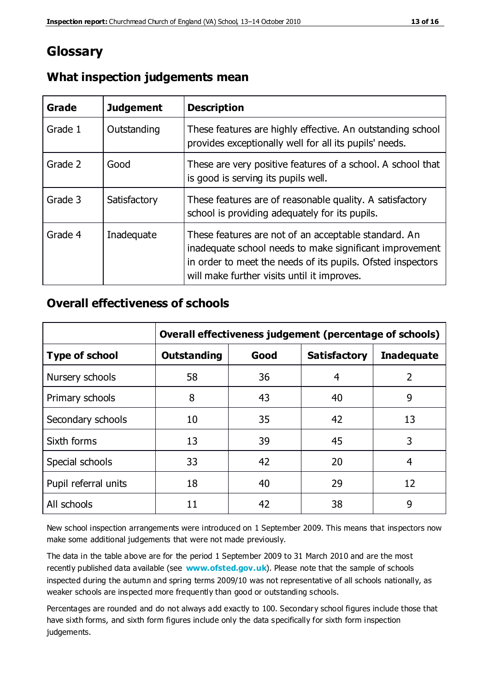## **Glossary**

| Grade   | <b>Judgement</b> | <b>Description</b>                                                                                                                                                                                                            |
|---------|------------------|-------------------------------------------------------------------------------------------------------------------------------------------------------------------------------------------------------------------------------|
| Grade 1 | Outstanding      | These features are highly effective. An outstanding school<br>provides exceptionally well for all its pupils' needs.                                                                                                          |
| Grade 2 | Good             | These are very positive features of a school. A school that<br>is good is serving its pupils well.                                                                                                                            |
| Grade 3 | Satisfactory     | These features are of reasonable quality. A satisfactory<br>school is providing adequately for its pupils.                                                                                                                    |
| Grade 4 | Inadequate       | These features are not of an acceptable standard. An<br>inadequate school needs to make significant improvement<br>in order to meet the needs of its pupils. Ofsted inspectors<br>will make further visits until it improves. |

## **What inspection judgements mean**

## **Overall effectiveness of schools**

|                       | Overall effectiveness judgement (percentage of schools) |      |                     |                   |
|-----------------------|---------------------------------------------------------|------|---------------------|-------------------|
| <b>Type of school</b> | <b>Outstanding</b>                                      | Good | <b>Satisfactory</b> | <b>Inadequate</b> |
| Nursery schools       | 58                                                      | 36   | 4                   | 2                 |
| Primary schools       | 8                                                       | 43   | 40                  | 9                 |
| Secondary schools     | 10                                                      | 35   | 42                  | 13                |
| Sixth forms           | 13                                                      | 39   | 45                  | 3                 |
| Special schools       | 33                                                      | 42   | 20                  | 4                 |
| Pupil referral units  | 18                                                      | 40   | 29                  | 12                |
| All schools           | 11                                                      | 42   | 38                  | 9                 |

New school inspection arrangements were introduced on 1 September 2009. This means that inspectors now make some additional judgements that were not made previously.

The data in the table above are for the period 1 September 2009 to 31 March 2010 and are the most recently published data available (see **[www.ofsted.gov.uk](http://www.ofsted.gov.uk/)**). Please note that the sample of schools inspected during the autumn and spring terms 2009/10 was not representative of all schools nationally, as weaker schools are inspected more frequently than good or outstanding schools.

Percentages are rounded and do not always add exactly to 100. Secondary school figures include those that have sixth forms, and sixth form figures include only the data specifically for sixth form inspection judgements.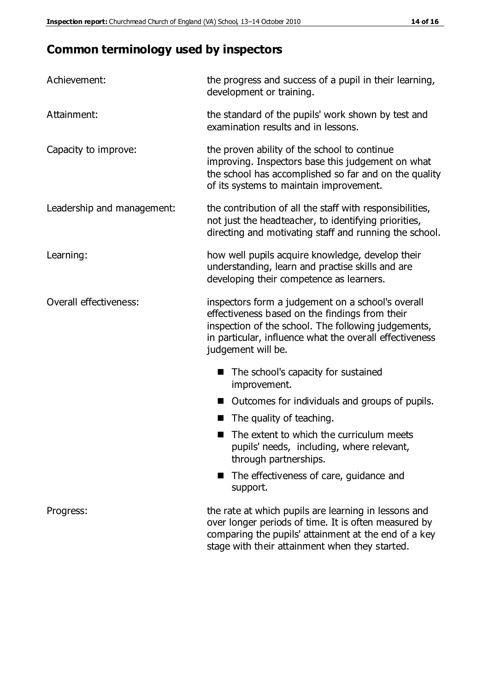# **Common terminology used by inspectors**

| Achievement:               | the progress and success of a pupil in their learning,<br>development or training.                                                                                                                                                          |
|----------------------------|---------------------------------------------------------------------------------------------------------------------------------------------------------------------------------------------------------------------------------------------|
| Attainment:                | the standard of the pupils' work shown by test and<br>examination results and in lessons.                                                                                                                                                   |
| Capacity to improve:       | the proven ability of the school to continue<br>improving. Inspectors base this judgement on what<br>the school has accomplished so far and on the quality<br>of its systems to maintain improvement.                                       |
| Leadership and management: | the contribution of all the staff with responsibilities,<br>not just the headteacher, to identifying priorities,<br>directing and motivating staff and running the school.                                                                  |
| Learning:                  | how well pupils acquire knowledge, develop their<br>understanding, learn and practise skills and are<br>developing their competence as learners.                                                                                            |
| Overall effectiveness:     | inspectors form a judgement on a school's overall<br>effectiveness based on the findings from their<br>inspection of the school. The following judgements,<br>in particular, influence what the overall effectiveness<br>judgement will be. |
|                            | The school's capacity for sustained<br>improvement.                                                                                                                                                                                         |
|                            | Outcomes for individuals and groups of pupils.                                                                                                                                                                                              |
|                            | The quality of teaching.                                                                                                                                                                                                                    |
|                            | The extent to which the curriculum meets<br>pupils' needs, including, where relevant,<br>through partnerships.                                                                                                                              |
|                            | The effectiveness of care, guidance and<br>support.                                                                                                                                                                                         |
| Progress:                  | the rate at which pupils are learning in lessons and<br>over longer periods of time. It is often measured by<br>comparing the pupils' attainment at the end of a key                                                                        |

stage with their attainment when they started.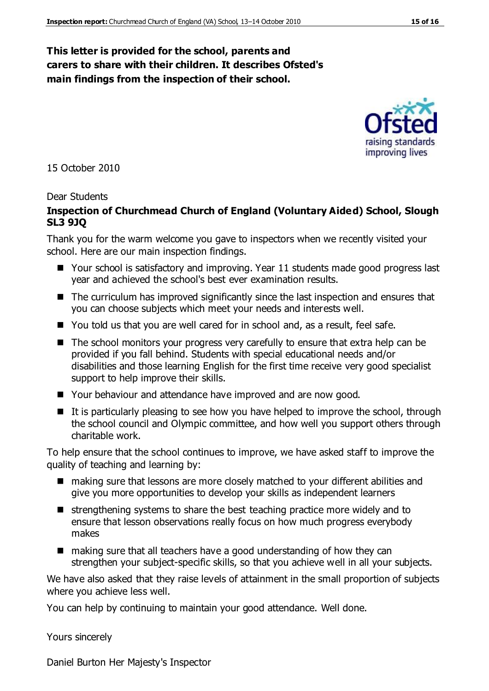#### **This letter is provided for the school, parents and carers to share with their children. It describes Ofsted's main findings from the inspection of their school.**

15 October 2010

#### Dear Students

#### **Inspection of Churchmead Church of England (Voluntary Aided) School, Slough SL3 9JQ**

Thank you for the warm welcome you gave to inspectors when we recently visited your school. Here are our main inspection findings.

- Your school is satisfactory and improving. Year 11 students made good progress last year and achieved the school's best ever examination results.
- The curriculum has improved significantly since the last inspection and ensures that you can choose subjects which meet your needs and interests well.
- You told us that you are well cared for in school and, as a result, feel safe.
- The school monitors your progress very carefully to ensure that extra help can be provided if you fall behind. Students with special educational needs and/or disabilities and those learning English for the first time receive very good specialist support to help improve their skills.
- Your behaviour and attendance have improved and are now good.
- $\blacksquare$  It is particularly pleasing to see how you have helped to improve the school, through the school council and Olympic committee, and how well you support others through charitable work.

To help ensure that the school continues to improve, we have asked staff to improve the quality of teaching and learning by:

- making sure that lessons are more closely matched to your different abilities and give you more opportunities to develop your skills as independent learners
- $\blacksquare$  strengthening systems to share the best teaching practice more widely and to ensure that lesson observations really focus on how much progress everybody makes
- making sure that all teachers have a good understanding of how they can strengthen your subject-specific skills, so that you achieve well in all your subjects.

We have also asked that they raise levels of attainment in the small proportion of subjects where you achieve less well.

You can help by continuing to maintain your good attendance. Well done.

Yours sincerely

Daniel Burton Her Majesty's Inspector